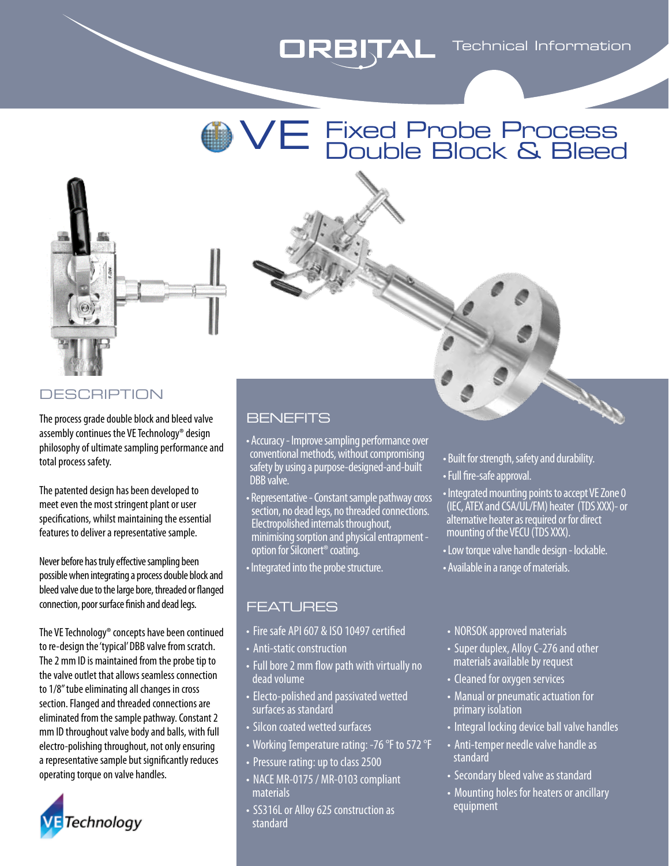



## **DESCRIPTION**

The process grade double block and bleed valve assembly continues the VE Technology® design philosophy of ultimate sampling performance and total process safety.

The patented design has been developed to meet even the most stringent plant or user specifications, whilst maintaining the essential features to deliver a representative sample.

Never before has truly effective sampling been possible when integrating a process double block and bleed valve due to the large bore, threaded or flanged connection, poor surface finish and dead legs.

The VE Technology® concepts have been continued to re-design the 'typical' DBB valve from scratch. The 2 mm ID is maintained from the probe tip to the valve outlet that allows seamless connection to 1/8" tube eliminating all changes in cross section. Flanged and threaded connections are eliminated from the sample pathway. Constant 2 mm ID throughout valve body and balls, with full electro-polishing throughout, not only ensuring a representative sample but significantly reduces operating torque on valve handles.



## BENEFITS

- Accuracy Improve sampling performance over conventional methods, without compromising safety by using a purpose-designed-and-built DBB valve.
- Representative Constant sample pathway cross section, no dead legs, no threaded connections. Electropolished internals throughout, minimising sorption and physical entrapment option for Silconert® coating.
- Integrated into the probe structure.

### FEATURES

- Fire safe API 607 & ISO 10497 certified
- Anti-static construction
- Full bore 2 mm flow path with virtually no dead volume
- Electo-polished and passivated wetted surfaces as standard
- Silcon coated wetted surfaces
- Working Temperature rating: -76 °F to 572 °F
- Pressure rating: up to class 2500
- NACE MR-0175 / MR-0103 compliant materials
- SS316L or Alloy 625 construction as standard
- Built for strength, safety and durability.
- Full fire-safe approval.
- Integrated mounting points to accept VE Zone 0 (IEC, ATEX and CSA/UL/FM) heater (TDS XXX)- or alternative heater as required or for direct mounting of the VECU (TDS XXX).
- Low torque valve handle design lockable.
- Available in a range of materials.

#### • NORSOK approved materials

- Super duplex, Alloy C-276 and other materials available by request
- Cleaned for oxygen services
- Manual or pneumatic actuation for primary isolation
- Integral locking device ball valve handles
- Anti-temper needle valve handle as standard
- Secondary bleed valve as standard
- Mounting holes for heaters or ancillary equipment